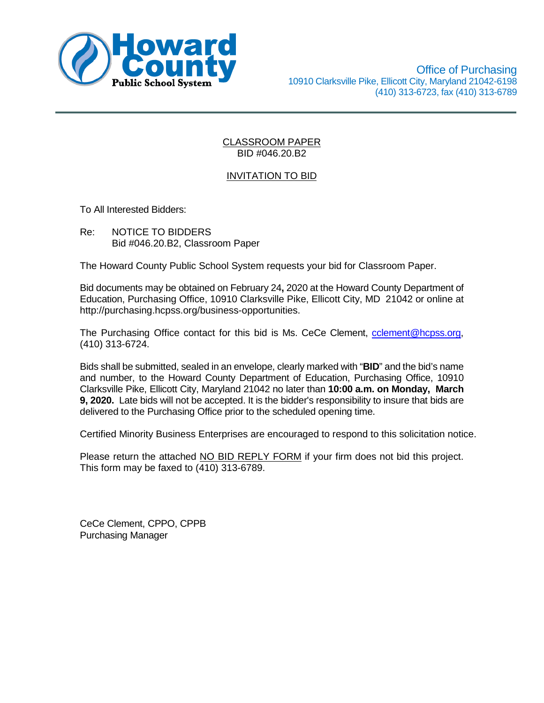

# INVITATION TO BID

To All Interested Bidders:

Re: NOTICE TO BIDDERS Bid #046.20.B2, Classroom Paper

The Howard County Public School System requests your bid for Classroom Paper.

Bid documents may be obtained on February 24**,** 2020 at the Howard County Department of Education, Purchasing Office, 10910 Clarksville Pike, Ellicott City, MD 21042 or online at http://purchasing.hcpss.org/business-opportunities.

The Purchasing Office contact for this bid is Ms. CeCe Clement, cclement@hcpss.org, (410) 313-6724.

Bids shall be submitted, sealed in an envelope, clearly marked with "**BID**" and the bid's name and number, to the Howard County Department of Education, Purchasing Office, 10910 Clarksville Pike, Ellicott City, Maryland 21042 no later than **10:00 a.m. on Monday, March 9, 2020.** Late bids will not be accepted. It is the bidder's responsibility to insure that bids are delivered to the Purchasing Office prior to the scheduled opening time.

Certified Minority Business Enterprises are encouraged to respond to this solicitation notice.

Please return the attached NO BID REPLY FORM if your firm does not bid this project. This form may be faxed to (410) 313-6789.

CeCe Clement, CPPO, CPPB Purchasing Manager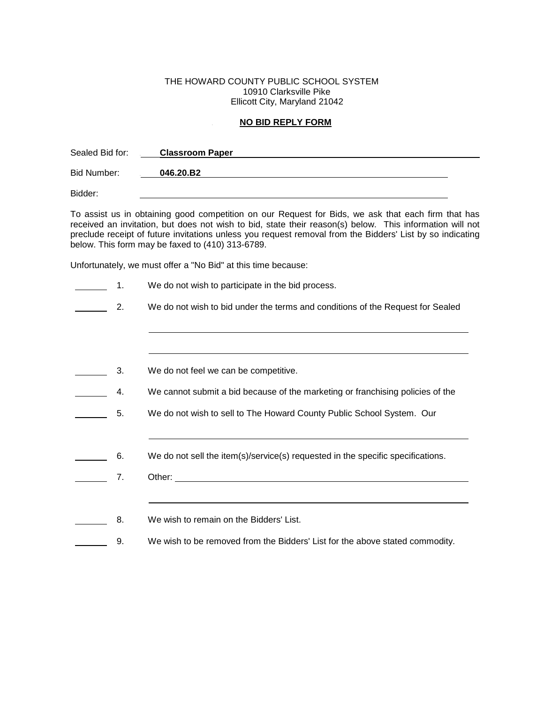#### THE HOWARD COUNTY PUBLIC SCHOOL SYSTEM 10910 Clarksville Pike Ellicott City, Maryland 21042

### <sup>U</sup> **NO BID REPLY FORM**

| Sealed Bid for: | <b>Classroom Paper</b> |  |  |
|-----------------|------------------------|--|--|
| Bid Number:     | 046.20.B2              |  |  |
| Bidder:         |                        |  |  |

To assist us in obtaining good competition on our Request for Bids, we ask that each firm that has received an invitation, but does not wish to bid, state their reason(s) below. This information will not preclude receipt of future invitations unless you request removal from the Bidders' List by so indicating below. This form may be faxed to (410) 313-6789.

Unfortunately, we must offer a "No Bid" at this time because:

| $\mathbf 1$ . | We do not wish to participate in the bid process.                                                                |
|---------------|------------------------------------------------------------------------------------------------------------------|
| 2.            | We do not wish to bid under the terms and conditions of the Request for Sealed                                   |
|               |                                                                                                                  |
|               |                                                                                                                  |
| 3.            | We do not feel we can be competitive.                                                                            |
| 4.            | We cannot submit a bid because of the marketing or franchising policies of the                                   |
| 5.            | We do not wish to sell to The Howard County Public School System. Our                                            |
|               |                                                                                                                  |
| 6.            | We do not sell the item(s)/service(s) requested in the specific specifications.                                  |
| 7.            |                                                                                                                  |
|               | and the control of the control of the control of the control of the control of the control of the control of the |
| 8.            | We wish to remain on the Bidders' List.                                                                          |
| 9.            | We wish to be removed from the Bidders' List for the above stated commodity.                                     |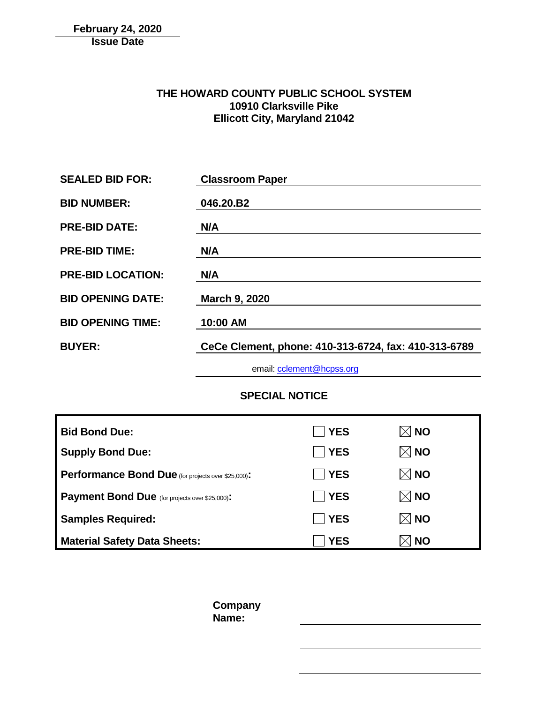# **February 24, 2020 Issue Date**

# **THE HOWARD COUNTY PUBLIC SCHOOL SYSTEM 10910 Clarksville Pike Ellicott City, Maryland 21042**

| <b>SEALED BID FOR:</b>   | <b>Classroom Paper</b>                               |
|--------------------------|------------------------------------------------------|
| <b>BID NUMBER:</b>       | 046.20.B2                                            |
| <b>PRE-BID DATE:</b>     | N/A                                                  |
| <b>PRE-BID TIME:</b>     | N/A                                                  |
| <b>PRE-BID LOCATION:</b> | N/A                                                  |
| <b>BID OPENING DATE:</b> | <b>March 9, 2020</b>                                 |
| <b>BID OPENING TIME:</b> | 10:00 AM                                             |
| <b>BUYER:</b>            | CeCe Clement, phone: 410-313-6724, fax: 410-313-6789 |
|                          |                                                      |

email: [cclement@hcpss.org](mailto:cclement@hcpss.org)

**SPECIAL NOTICE**

| <b>Bid Bond Due:</b>                                      | <b>TYES</b> | $\boxtimes$ NO |
|-----------------------------------------------------------|-------------|----------------|
| <b>Supply Bond Due:</b>                                   | <b>TYES</b> | $\boxtimes$ NO |
| <b>Performance Bond Due</b> (for projects over \$25,000): | <b>SES</b>  | $\boxtimes$ NO |
| <b>Payment Bond Due</b> (for projects over \$25,000):     | <b>YES</b>  | $\boxtimes$ NO |
| <b>Samples Required:</b>                                  | ∣ ∣YES      | $\boxtimes$ NO |
| <b>Material Safety Data Sheets:</b>                       | <b>YES</b>  | (∣ NO          |

**Company Name:**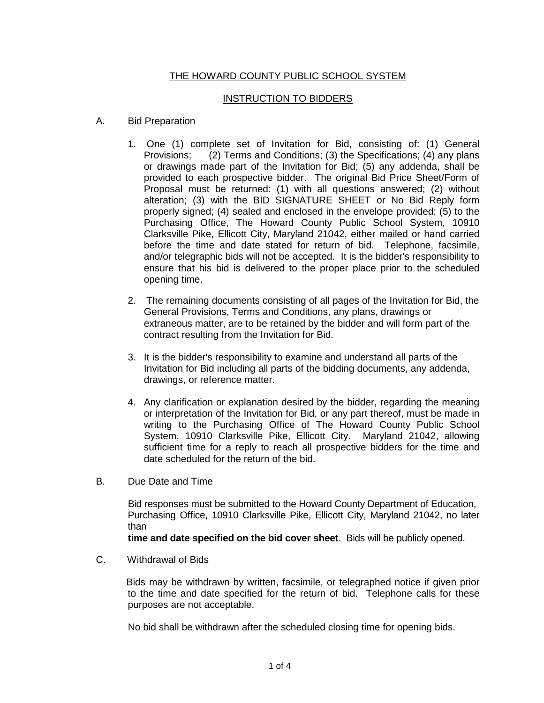# THE HOWARD COUNTY PUBLIC SCHOOL SYSTEM

# INSTRUCTION TO BIDDERS

- A. Bid Preparation
	- 1. One (1) complete set of Invitation for Bid, consisting of: (1) General Provisions; (2) Terms and Conditions; (3) the Specifications; (4) any plans or drawings made part of the Invitation for Bid; (5) any addenda, shall be provided to each prospective bidder. The original Bid Price Sheet/Form of Proposal must be returned: (1) with all questions answered; (2) without alteration; (3) with the BID SIGNATURE SHEET or No Bid Reply form properly signed; (4) sealed and enclosed in the envelope provided; (5) to the Purchasing Office, The Howard County Public School System, 10910 Clarksville Pike, Ellicott City, Maryland 21042, either mailed or hand carried before the time and date stated for return of bid. Telephone, facsimile, and/or telegraphic bids will not be accepted. It is the bidder's responsibility to ensure that his bid is delivered to the proper place prior to the scheduled opening time.
	- 2. The remaining documents consisting of all pages of the Invitation for Bid, the General Provisions, Terms and Conditions, any plans, drawings or extraneous matter, are to be retained by the bidder and will form part of the contract resulting from the Invitation for Bid.
	- 3. It is the bidder's responsibility to examine and understand all parts of the Invitation for Bid including all parts of the bidding documents, any addenda, drawings, or reference matter.
	- 4. Any clarification or explanation desired by the bidder, regarding the meaning or interpretation of the Invitation for Bid, or any part thereof, must be made in writing to the Purchasing Office of The Howard County Public School System, 10910 Clarksville Pike, Ellicott City. Maryland 21042, allowing sufficient time for a reply to reach all prospective bidders for the time and date scheduled for the return of the bid.
- B. Due Date and Time

 Bid responses must be submitted to the Howard County Department of Education, Purchasing Office, 10910 Clarksville Pike, Ellicott City, Maryland 21042, no later than

**time and date specified on the bid cover sheet**. Bids will be publicly opened.

C. Withdrawal of Bids

 Bids may be withdrawn by written, facsimile, or telegraphed notice if given prior to the time and date specified for the return of bid. Telephone calls for these purposes are not acceptable.

No bid shall be withdrawn after the scheduled closing time for opening bids.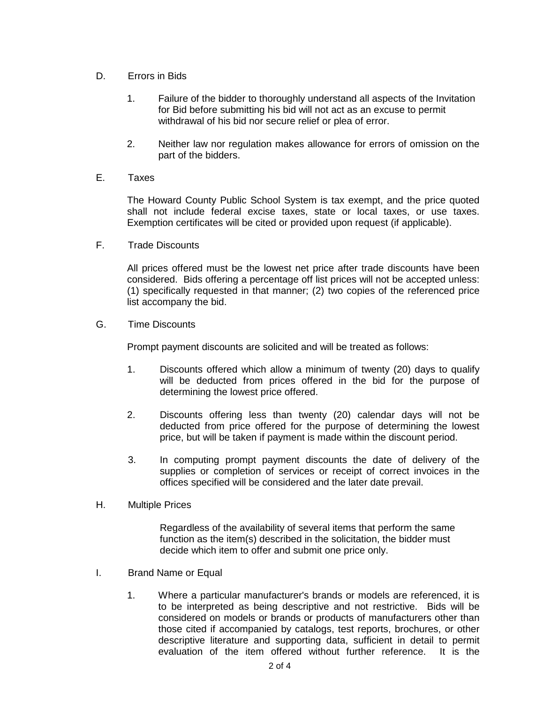- D. Errors in Bids
	- 1. Failure of the bidder to thoroughly understand all aspects of the Invitation for Bid before submitting his bid will not act as an excuse to permit withdrawal of his bid nor secure relief or plea of error.
	- 2. Neither law nor regulation makes allowance for errors of omission on the part of the bidders.
- E. Taxes

The Howard County Public School System is tax exempt, and the price quoted shall not include federal excise taxes, state or local taxes, or use taxes. Exemption certificates will be cited or provided upon request (if applicable).

F. Trade Discounts

All prices offered must be the lowest net price after trade discounts have been considered. Bids offering a percentage off list prices will not be accepted unless: (1) specifically requested in that manner; (2) two copies of the referenced price list accompany the bid.

G. Time Discounts

Prompt payment discounts are solicited and will be treated as follows:

- 1. Discounts offered which allow a minimum of twenty (20) days to qualify will be deducted from prices offered in the bid for the purpose of determining the lowest price offered.
- 2. Discounts offering less than twenty (20) calendar days will not be deducted from price offered for the purpose of determining the lowest price, but will be taken if payment is made within the discount period.
- 3. In computing prompt payment discounts the date of delivery of the supplies or completion of services or receipt of correct invoices in the offices specified will be considered and the later date prevail.
- H. Multiple Prices

Regardless of the availability of several items that perform the same function as the item(s) described in the solicitation, the bidder must decide which item to offer and submit one price only.

- I. Brand Name or Equal
	- 1. Where a particular manufacturer's brands or models are referenced, it is to be interpreted as being descriptive and not restrictive. Bids will be considered on models or brands or products of manufacturers other than those cited if accompanied by catalogs, test reports, brochures, or other descriptive literature and supporting data, sufficient in detail to permit evaluation of the item offered without further reference. It is the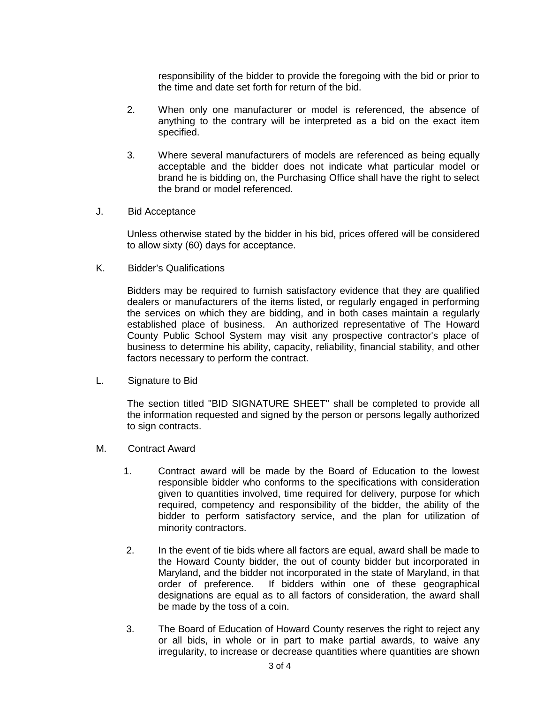responsibility of the bidder to provide the foregoing with the bid or prior to the time and date set forth for return of the bid.

- 2. When only one manufacturer or model is referenced, the absence of anything to the contrary will be interpreted as a bid on the exact item specified.
- 3. Where several manufacturers of models are referenced as being equally acceptable and the bidder does not indicate what particular model or brand he is bidding on, the Purchasing Office shall have the right to select the brand or model referenced.
- J. Bid Acceptance

Unless otherwise stated by the bidder in his bid, prices offered will be considered to allow sixty (60) days for acceptance.

K. Bidder's Qualifications

Bidders may be required to furnish satisfactory evidence that they are qualified dealers or manufacturers of the items listed, or regularly engaged in performing the services on which they are bidding, and in both cases maintain a regularly established place of business. An authorized representative of The Howard County Public School System may visit any prospective contractor's place of business to determine his ability, capacity, reliability, financial stability, and other factors necessary to perform the contract.

L. Signature to Bid

The section titled "BID SIGNATURE SHEET" shall be completed to provide all the information requested and signed by the person or persons legally authorized to sign contracts.

- M. Contract Award
	- 1. Contract award will be made by the Board of Education to the lowest responsible bidder who conforms to the specifications with consideration given to quantities involved, time required for delivery, purpose for which required, competency and responsibility of the bidder, the ability of the bidder to perform satisfactory service, and the plan for utilization of minority contractors.
	- 2. In the event of tie bids where all factors are equal, award shall be made to the Howard County bidder, the out of county bidder but incorporated in Maryland, and the bidder not incorporated in the state of Maryland, in that order of preference. If bidders within one of these geographical designations are equal as to all factors of consideration, the award shall be made by the toss of a coin.
	- 3. The Board of Education of Howard County reserves the right to reject any or all bids, in whole or in part to make partial awards, to waive any irregularity, to increase or decrease quantities where quantities are shown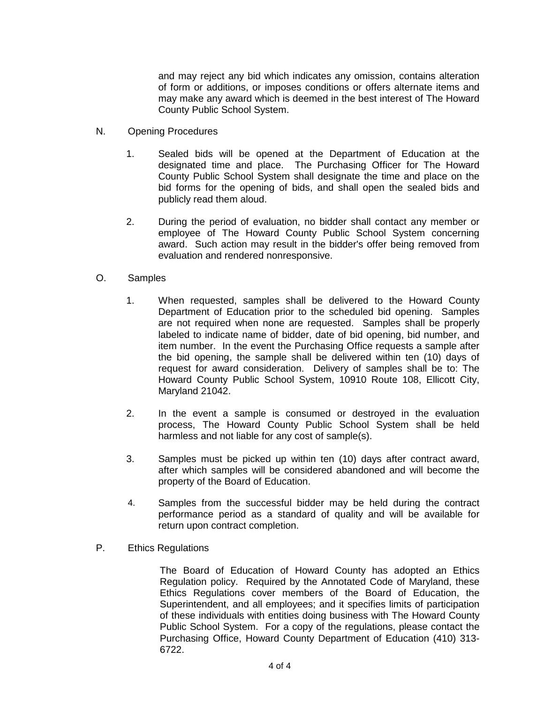and may reject any bid which indicates any omission, contains alteration of form or additions, or imposes conditions or offers alternate items and may make any award which is deemed in the best interest of The Howard County Public School System.

- N. Opening Procedures
	- 1. Sealed bids will be opened at the Department of Education at the designated time and place. The Purchasing Officer for The Howard County Public School System shall designate the time and place on the bid forms for the opening of bids, and shall open the sealed bids and publicly read them aloud.
	- 2. During the period of evaluation, no bidder shall contact any member or employee of The Howard County Public School System concerning award. Such action may result in the bidder's offer being removed from evaluation and rendered nonresponsive.
- O. Samples
	- 1. When requested, samples shall be delivered to the Howard County Department of Education prior to the scheduled bid opening. Samples are not required when none are requested. Samples shall be properly labeled to indicate name of bidder, date of bid opening, bid number, and item number. In the event the Purchasing Office requests a sample after the bid opening, the sample shall be delivered within ten (10) days of request for award consideration. Delivery of samples shall be to: The Howard County Public School System, 10910 Route 108, Ellicott City, Maryland 21042.
	- 2. In the event a sample is consumed or destroyed in the evaluation process, The Howard County Public School System shall be held harmless and not liable for any cost of sample(s).
	- 3. Samples must be picked up within ten (10) days after contract award, after which samples will be considered abandoned and will become the property of the Board of Education.
	- 4. Samples from the successful bidder may be held during the contract performance period as a standard of quality and will be available for return upon contract completion.
- P. Ethics Regulations

The Board of Education of Howard County has adopted an Ethics Regulation policy. Required by the Annotated Code of Maryland, these Ethics Regulations cover members of the Board of Education, the Superintendent, and all employees; and it specifies limits of participation of these individuals with entities doing business with The Howard County Public School System. For a copy of the regulations, please contact the Purchasing Office, Howard County Department of Education (410) 313- 6722.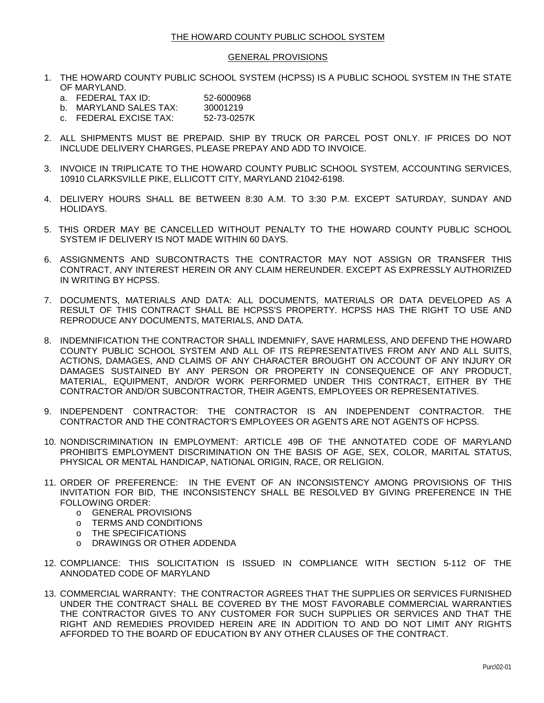#### GENERAL PROVISIONS

- 1. THE HOWARD COUNTY PUBLIC SCHOOL SYSTEM (HCPSS) IS A PUBLIC SCHOOL SYSTEM IN THE STATE OF MARYLAND.
	- a. FEDERAL TAX ID: 52-6000968
	- b. MARYLAND SALES TAX: 30001219
	- c. FEDERAL EXCISE TAX: 52-73-0257K
- 2. ALL SHIPMENTS MUST BE PREPAID. SHIP BY TRUCK OR PARCEL POST ONLY. IF PRICES DO NOT INCLUDE DELIVERY CHARGES, PLEASE PREPAY AND ADD TO INVOICE.
- 3. INVOICE IN TRIPLICATE TO THE HOWARD COUNTY PUBLIC SCHOOL SYSTEM, ACCOUNTING SERVICES, 10910 CLARKSVILLE PIKE, ELLICOTT CITY, MARYLAND 21042-6198.
- 4. DELIVERY HOURS SHALL BE BETWEEN 8:30 A.M. TO 3:30 P.M. EXCEPT SATURDAY, SUNDAY AND HOLIDAYS.
- 5. THIS ORDER MAY BE CANCELLED WITHOUT PENALTY TO THE HOWARD COUNTY PUBLIC SCHOOL SYSTEM IF DELIVERY IS NOT MADE WITHIN 60 DAYS.
- 6. ASSIGNMENTS AND SUBCONTRACTS THE CONTRACTOR MAY NOT ASSIGN OR TRANSFER THIS CONTRACT, ANY INTEREST HEREIN OR ANY CLAIM HEREUNDER. EXCEPT AS EXPRESSLY AUTHORIZED IN WRITING BY HCPSS.
- 7. DOCUMENTS, MATERIALS AND DATA: ALL DOCUMENTS, MATERIALS OR DATA DEVELOPED AS A RESULT OF THIS CONTRACT SHALL BE HCPSS'S PROPERTY. HCPSS HAS THE RIGHT TO USE AND REPRODUCE ANY DOCUMENTS, MATERIALS, AND DATA.
- 8. INDEMNIFICATION THE CONTRACTOR SHALL INDEMNIFY, SAVE HARMLESS, AND DEFEND THE HOWARD COUNTY PUBLIC SCHOOL SYSTEM AND ALL OF ITS REPRESENTATIVES FROM ANY AND ALL SUITS, ACTIONS, DAMAGES, AND CLAIMS OF ANY CHARACTER BROUGHT ON ACCOUNT OF ANY INJURY OR DAMAGES SUSTAINED BY ANY PERSON OR PROPERTY IN CONSEQUENCE OF ANY PRODUCT, MATERIAL, EQUIPMENT, AND/OR WORK PERFORMED UNDER THIS CONTRACT, EITHER BY THE CONTRACTOR AND/OR SUBCONTRACTOR, THEIR AGENTS, EMPLOYEES OR REPRESENTATIVES.
- 9. INDEPENDENT CONTRACTOR: THE CONTRACTOR IS AN INDEPENDENT CONTRACTOR. THE CONTRACTOR AND THE CONTRACTOR'S EMPLOYEES OR AGENTS ARE NOT AGENTS OF HCPSS.
- 10. NONDISCRIMINATION IN EMPLOYMENT: ARTICLE 49B OF THE ANNOTATED CODE OF MARYLAND PROHIBITS EMPLOYMENT DISCRIMINATION ON THE BASIS OF AGE, SEX, COLOR, MARITAL STATUS, PHYSICAL OR MENTAL HANDICAP, NATIONAL ORIGIN, RACE, OR RELIGION.
- 11. ORDER OF PREFERENCE: IN THE EVENT OF AN INCONSISTENCY AMONG PROVISIONS OF THIS INVITATION FOR BID, THE INCONSISTENCY SHALL BE RESOLVED BY GIVING PREFERENCE IN THE FOLLOWING ORDER:
	- o GENERAL PROVISIONS<br>
	o TERMS AND CONDITION
	- TERMS AND CONDITIONS
	- o THE SPECIFICATIONS
	- o DRAWINGS OR OTHER ADDENDA
- 12. COMPLIANCE: THIS SOLICITATION IS ISSUED IN COMPLIANCE WITH SECTION 5-112 OF THE ANNODATED CODE OF MARYLAND
- 13. COMMERCIAL WARRANTY: THE CONTRACTOR AGREES THAT THE SUPPLIES OR SERVICES FURNISHED UNDER THE CONTRACT SHALL BE COVERED BY THE MOST FAVORABLE COMMERCIAL WARRANTIES THE CONTRACTOR GIVES TO ANY CUSTOMER FOR SUCH SUPPLIES OR SERVICES AND THAT THE RIGHT AND REMEDIES PROVIDED HEREIN ARE IN ADDITION TO AND DO NOT LIMIT ANY RIGHTS AFFORDED TO THE BOARD OF EDUCATION BY ANY OTHER CLAUSES OF THE CONTRACT.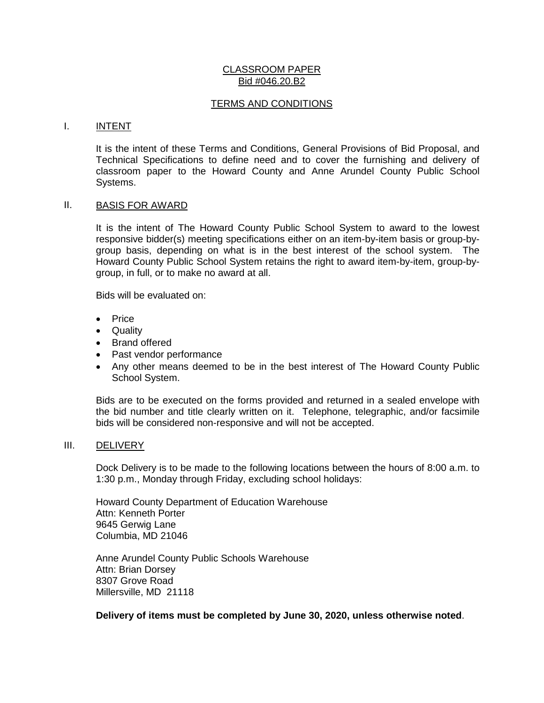### TERMS AND CONDITIONS

#### I. INTENT

It is the intent of these Terms and Conditions, General Provisions of Bid Proposal, and Technical Specifications to define need and to cover the furnishing and delivery of classroom paper to the Howard County and Anne Arundel County Public School Systems.

## II. BASIS FOR AWARD

It is the intent of The Howard County Public School System to award to the lowest responsive bidder(s) meeting specifications either on an item-by-item basis or group-bygroup basis, depending on what is in the best interest of the school system. The Howard County Public School System retains the right to award item-by-item, group-bygroup, in full, or to make no award at all.

Bids will be evaluated on:

- Price
- Quality
- Brand offered
- Past vendor performance
- Any other means deemed to be in the best interest of The Howard County Public School System.

Bids are to be executed on the forms provided and returned in a sealed envelope with the bid number and title clearly written on it. Telephone, telegraphic, and/or facsimile bids will be considered non-responsive and will not be accepted.

#### III. DELIVERY

Dock Delivery is to be made to the following locations between the hours of 8:00 a.m. to 1:30 p.m., Monday through Friday, excluding school holidays:

Howard County Department of Education Warehouse Attn: Kenneth Porter 9645 Gerwig Lane Columbia, MD 21046

Anne Arundel County Public Schools Warehouse Attn: Brian Dorsey 8307 Grove Road Millersville, MD 21118

**Delivery of items must be completed by June 30, 2020, unless otherwise noted**.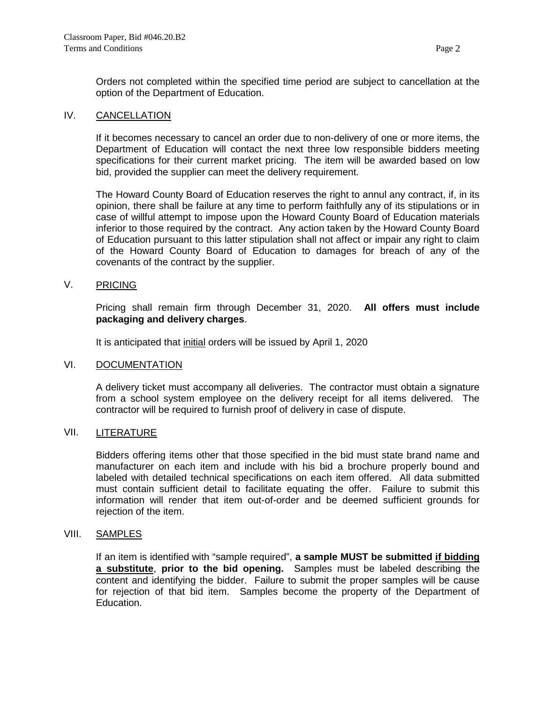Orders not completed within the specified time period are subject to cancellation at the option of the Department of Education.

## IV. CANCELLATION

If it becomes necessary to cancel an order due to non-delivery of one or more items, the Department of Education will contact the next three low responsible bidders meeting specifications for their current market pricing. The item will be awarded based on low bid, provided the supplier can meet the delivery requirement.

The Howard County Board of Education reserves the right to annul any contract, if, in its opinion, there shall be failure at any time to perform faithfully any of its stipulations or in case of willful attempt to impose upon the Howard County Board of Education materials inferior to those required by the contract. Any action taken by the Howard County Board of Education pursuant to this latter stipulation shall not affect or impair any right to claim of the Howard County Board of Education to damages for breach of any of the covenants of the contract by the supplier.

# V. PRICING

Pricing shall remain firm through December 31, 2020. **All offers must include packaging and delivery charges**.

It is anticipated that initial orders will be issued by April 1, 2020

## VI. DOCUMENTATION

A delivery ticket must accompany all deliveries. The contractor must obtain a signature from a school system employee on the delivery receipt for all items delivered. The contractor will be required to furnish proof of delivery in case of dispute.

## VII. LITERATURE

Bidders offering items other that those specified in the bid must state brand name and manufacturer on each item and include with his bid a brochure properly bound and labeled with detailed technical specifications on each item offered. All data submitted must contain sufficient detail to facilitate equating the offer. Failure to submit this information will render that item out-of-order and be deemed sufficient grounds for rejection of the item.

## VIII. SAMPLES

If an item is identified with "sample required", **a sample MUST be submitted if bidding a substitute**, **prior to the bid opening.** Samples must be labeled describing the content and identifying the bidder. Failure to submit the proper samples will be cause for rejection of that bid item. Samples become the property of the Department of Education.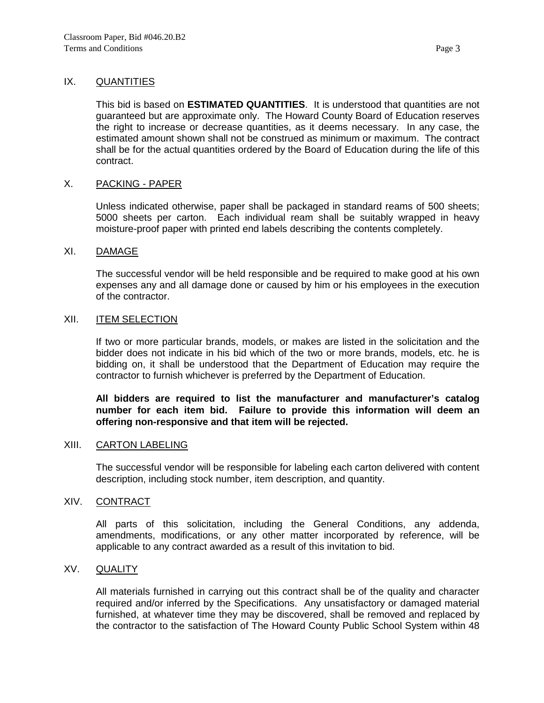# IX. **QUANTITIES**

This bid is based on **ESTIMATED QUANTITIES**. It is understood that quantities are not guaranteed but are approximate only. The Howard County Board of Education reserves the right to increase or decrease quantities, as it deems necessary. In any case, the estimated amount shown shall not be construed as minimum or maximum. The contract shall be for the actual quantities ordered by the Board of Education during the life of this contract.

## X. PACKING - PAPER

Unless indicated otherwise, paper shall be packaged in standard reams of 500 sheets; 5000 sheets per carton. Each individual ream shall be suitably wrapped in heavy moisture-proof paper with printed end labels describing the contents completely.

#### XI. DAMAGE

The successful vendor will be held responsible and be required to make good at his own expenses any and all damage done or caused by him or his employees in the execution of the contractor.

# XII. ITEM SELECTION

If two or more particular brands, models, or makes are listed in the solicitation and the bidder does not indicate in his bid which of the two or more brands, models, etc. he is bidding on, it shall be understood that the Department of Education may require the contractor to furnish whichever is preferred by the Department of Education.

# **All bidders are required to list the manufacturer and manufacturer's catalog number for each item bid. Failure to provide this information will deem an offering non-responsive and that item will be rejected.**

## XIII. CARTON LABELING

The successful vendor will be responsible for labeling each carton delivered with content description, including stock number, item description, and quantity.

## XIV. CONTRACT

All parts of this solicitation, including the General Conditions, any addenda, amendments, modifications, or any other matter incorporated by reference, will be applicable to any contract awarded as a result of this invitation to bid.

## XV. QUALITY

All materials furnished in carrying out this contract shall be of the quality and character required and/or inferred by the Specifications. Any unsatisfactory or damaged material furnished, at whatever time they may be discovered, shall be removed and replaced by the contractor to the satisfaction of The Howard County Public School System within 48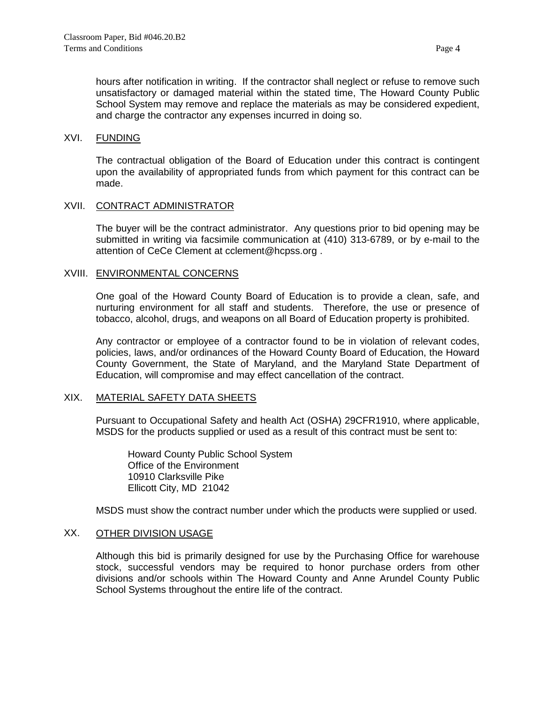hours after notification in writing. If the contractor shall neglect or refuse to remove such unsatisfactory or damaged material within the stated time, The Howard County Public School System may remove and replace the materials as may be considered expedient, and charge the contractor any expenses incurred in doing so.

# XVI. FUNDING

The contractual obligation of the Board of Education under this contract is contingent upon the availability of appropriated funds from which payment for this contract can be made.

#### XVII. CONTRACT ADMINISTRATOR

The buyer will be the contract administrator. Any questions prior to bid opening may be submitted in writing via facsimile communication at (410) 313-6789, or by e-mail to the attention of CeCe Clement at cclement@hcpss.org .

#### XVIII. ENVIRONMENTAL CONCERNS

One goal of the Howard County Board of Education is to provide a clean, safe, and nurturing environment for all staff and students. Therefore, the use or presence of tobacco, alcohol, drugs, and weapons on all Board of Education property is prohibited.

Any contractor or employee of a contractor found to be in violation of relevant codes, policies, laws, and/or ordinances of the Howard County Board of Education, the Howard County Government, the State of Maryland, and the Maryland State Department of Education, will compromise and may effect cancellation of the contract.

## XIX. MATERIAL SAFETY DATA SHEETS

Pursuant to Occupational Safety and health Act (OSHA) 29CFR1910, where applicable, MSDS for the products supplied or used as a result of this contract must be sent to:

Howard County Public School System Office of the Environment 10910 Clarksville Pike Ellicott City, MD 21042

MSDS must show the contract number under which the products were supplied or used.

## XX. OTHER DIVISION USAGE

Although this bid is primarily designed for use by the Purchasing Office for warehouse stock, successful vendors may be required to honor purchase orders from other divisions and/or schools within The Howard County and Anne Arundel County Public School Systems throughout the entire life of the contract.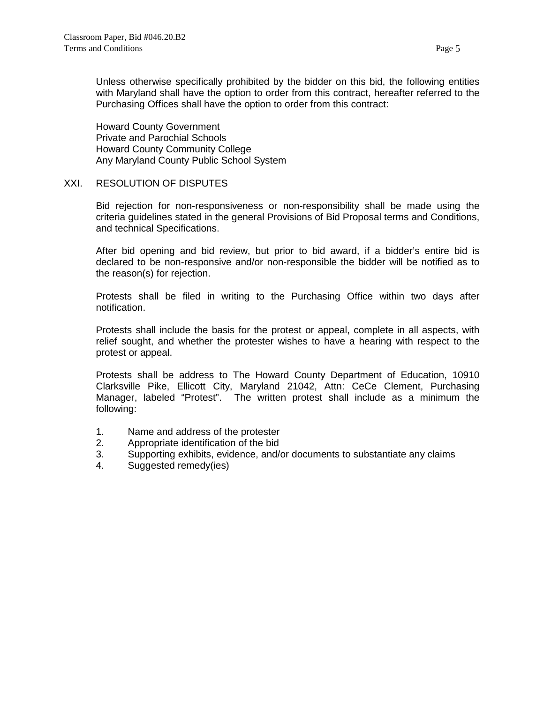Unless otherwise specifically prohibited by the bidder on this bid, the following entities with Maryland shall have the option to order from this contract, hereafter referred to the Purchasing Offices shall have the option to order from this contract:

Howard County Government Private and Parochial Schools Howard County Community College Any Maryland County Public School System

# XXI. RESOLUTION OF DISPUTES

Bid rejection for non-responsiveness or non-responsibility shall be made using the criteria guidelines stated in the general Provisions of Bid Proposal terms and Conditions, and technical Specifications.

After bid opening and bid review, but prior to bid award, if a bidder's entire bid is declared to be non-responsive and/or non-responsible the bidder will be notified as to the reason(s) for rejection.

Protests shall be filed in writing to the Purchasing Office within two days after notification.

Protests shall include the basis for the protest or appeal, complete in all aspects, with relief sought, and whether the protester wishes to have a hearing with respect to the protest or appeal.

Protests shall be address to The Howard County Department of Education, 10910 Clarksville Pike, Ellicott City, Maryland 21042, Attn: CeCe Clement, Purchasing Manager, labeled "Protest". The written protest shall include as a minimum the following:

- 1. Name and address of the protester
- 2. Appropriate identification of the bid<br>3. Supporting exhibits, evidence, and/
- Supporting exhibits, evidence, and/or documents to substantiate any claims
- 4. Suggested remedy(ies)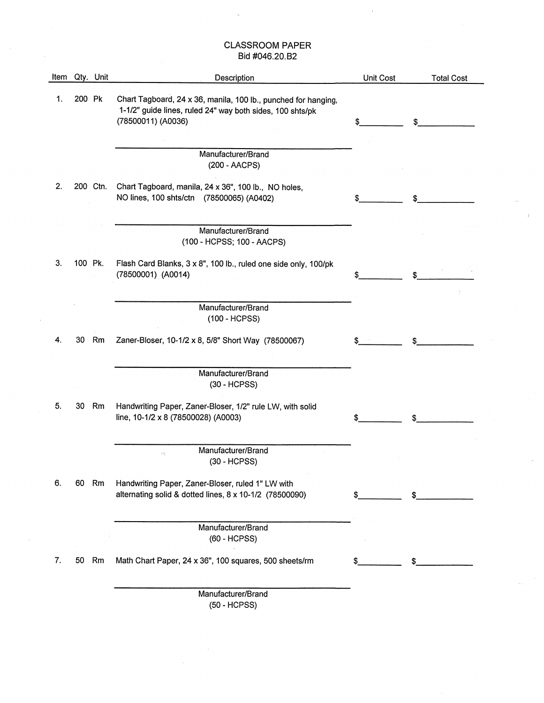| Item |         | Qty. Unit | Description                                                                                                                                       | Unit Cost | <b>Total Cost</b> |
|------|---------|-----------|---------------------------------------------------------------------------------------------------------------------------------------------------|-----------|-------------------|
| 1.   | 200 Pk  |           | Chart Tagboard, 24 x 36, manila, 100 lb., punched for hanging,<br>1-1/2" guide lines, ruled 24" way both sides, 100 shts/pk<br>(78500011) (A0036) | \$        | \$                |
|      |         |           |                                                                                                                                                   |           |                   |
|      |         |           | Manufacturer/Brand<br>(200 - AACPS)                                                                                                               |           |                   |
| 2.   |         | 200 Ctn.  | Chart Tagboard, manila, 24 x 36", 100 lb., NO holes,<br>NO lines, 100 shts/ctn (78500065) (A0402)                                                 |           |                   |
|      |         |           | Manufacturer/Brand<br>(100 - HCPSS; 100 - AACPS)                                                                                                  |           |                   |
| 3.   | 100 Pk. |           | Flash Card Blanks, 3 x 8", 100 lb., ruled one side only, 100/pk<br>(78500001) (A0014)                                                             | \$        | \$                |
|      |         |           | Manufacturer/Brand<br>(100 - HCPSS)                                                                                                               |           |                   |
| 4.   | 30      | Rm        | Zaner-Bloser, 10-1/2 x 8, 5/8" Short Way (78500067)                                                                                               | S         | \$                |
|      |         |           | Manufacturer/Brand<br>(30 - HCPSS)                                                                                                                |           |                   |
| 5.   | 30      | Rm        | Handwriting Paper, Zaner-Bloser, 1/2" rule LW, with solid<br>line, 10-1/2 x 8 (78500028) (A0003)                                                  |           | \$                |
|      |         |           | Manufacturer/Brand<br>(30 - HCPSS)                                                                                                                |           |                   |
| 6.   |         | 60 Rm     | Handwriting Paper, Zaner-Bloser, ruled 1" LW with<br>alternating solid & dotted lines, 8 x 10-1/2 (78500090)                                      |           | \$                |
|      |         |           | Manufacturer/Brand<br>(60 - HCPSS)                                                                                                                |           |                   |
| 7.   | 50      | Rm        | Math Chart Paper, 24 x 36", 100 squares, 500 sheets/rm                                                                                            |           |                   |
|      |         |           | Manufacturer/Brand<br>(50 - HCPSS)                                                                                                                |           |                   |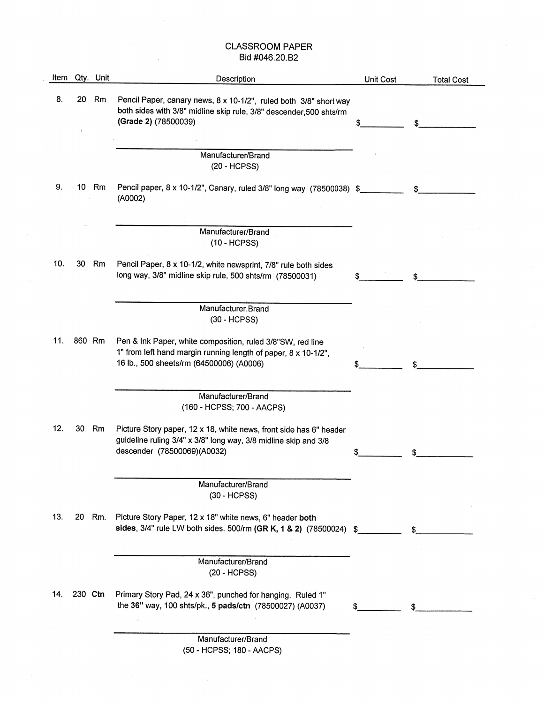$\bar{z}$ 

| Item |         | Qty. Unit | Description                                                                                                                                                              | Unit Cost | <b>Total Cost</b> |
|------|---------|-----------|--------------------------------------------------------------------------------------------------------------------------------------------------------------------------|-----------|-------------------|
| 8.   |         | 20 Rm     | Pencil Paper, canary news, 8 x 10-1/2", ruled both 3/8" short way<br>both sides with 3/8" midline skip rule, 3/8" descender, 500 shts/rm<br>(Grade 2) (78500039)         |           | \$                |
|      |         |           |                                                                                                                                                                          |           |                   |
|      |         |           | Manufacturer/Brand<br>$(20 - HCPSS)$                                                                                                                                     |           |                   |
| 9.   | 10      | Rm        | Pencil paper, 8 x 10-1/2", Canary, ruled 3/8" long way (78500038) \$<br>(A0002)                                                                                          |           | S.                |
|      |         |           | Manufacturer/Brand<br>$(10 - HCPSS)$                                                                                                                                     |           |                   |
| 10.  | 30      | Rm        | Pencil Paper, 8 x 10-1/2, white newsprint, 7/8" rule both sides<br>long way, 3/8" midline skip rule, 500 shts/rm (78500031)                                              |           |                   |
|      |         |           | Manufacturer.Brand<br>(30 - HCPSS)                                                                                                                                       |           |                   |
| 11.  | 860 Rm  |           | Pen & Ink Paper, white composition, ruled 3/8"SW, red line<br>1" from left hand margin running length of paper, 8 x 10-1/2",<br>16 lb., 500 sheets/rm (64500006) (A0006) |           |                   |
|      |         |           | Manufacturer/Brand<br>(160 - HCPSS; 700 - AACPS)                                                                                                                         |           |                   |
| 12.  | 30      | Rm        | Picture Story paper, 12 x 18, white news, front side has 6" header<br>guideline ruling 3/4" x 3/8" long way, 3/8 midline skip and 3/8<br>descender (78500069)(A0032)     |           |                   |
|      |         |           | Manufacturer/Brand<br>(30 - HCPSS)                                                                                                                                       |           |                   |
| 13.  | 20      | Rm.       | Picture Story Paper, 12 x 18" white news, 6" header both<br>sides, 3/4" rule LW both sides. 500/rm (GR K, 1 & 2) (78500024) \$                                           |           |                   |
|      |         |           | Manufacturer/Brand<br>$(20 - HCPSS)$                                                                                                                                     |           |                   |
| 14.  | 230 Ctn |           | Primary Story Pad, 24 x 36", punched for hanging. Ruled 1"<br>the 36" way, 100 shts/pk., 5 pads/ctn (78500027) (A0037)                                                   |           |                   |
|      |         |           | Manufacturer/Brand                                                                                                                                                       |           |                   |

 $\bar{a}$ 

(50 - HCPSS; 180 - AACPS)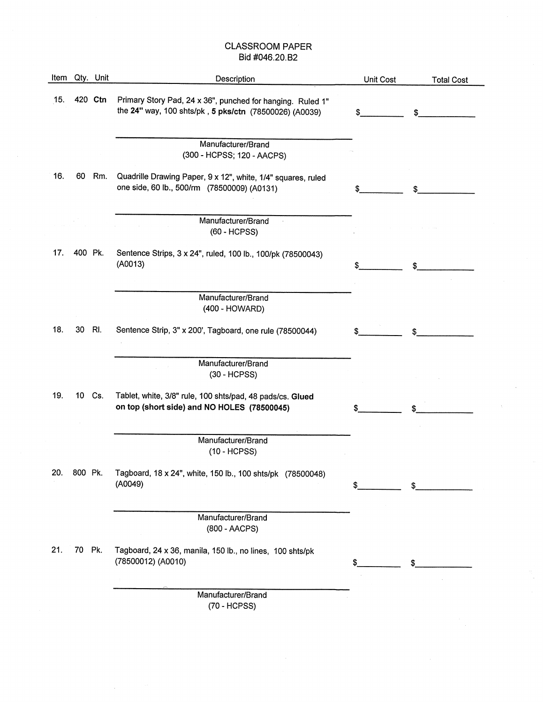|     |         | Item Qty. Unit | Description                                                                                                          | Unit Cost | <b>Total Cost</b> |
|-----|---------|----------------|----------------------------------------------------------------------------------------------------------------------|-----------|-------------------|
| 15. |         | 420 Ctn        | Primary Story Pad, 24 x 36", punched for hanging. Ruled 1"<br>the 24" way, 100 shts/pk, 5 pks/ctn (78500026) (A0039) | \$        | \$                |
|     |         |                | Manufacturer/Brand<br>(300 - HCPSS; 120 - AACPS)                                                                     |           |                   |
| 16. | 60      | Rm.            | Quadrille Drawing Paper, 9 x 12", white, 1/4" squares, ruled<br>one side, 60 lb., 500/rm (78500009) (A0131)          |           |                   |
|     |         |                | Manufacturer/Brand<br>(60 - HCPSS)                                                                                   |           |                   |
| 17. | 400 Pk. |                | Sentence Strips, 3 x 24", ruled, 100 lb., 100/pk (78500043)<br>(A0013)                                               |           |                   |
|     |         |                | Manufacturer/Brand<br>(400 - HOWARD)                                                                                 |           |                   |
| 18. | 30      | RI.            | Sentence Strip, 3" x 200', Tagboard, one rule (78500044)                                                             | S         | \$                |
|     |         |                | Manufacturer/Brand<br>(30 - HCPSS)                                                                                   |           |                   |
| 19. |         | 10 Cs.         | Tablet, white, 3/8" rule, 100 shts/pad, 48 pads/cs. Glued<br>on top (short side) and NO HOLES (78500045)             | \$        |                   |
|     |         |                | Manufacturer/Brand<br>$(10 - HCPSS)$                                                                                 |           |                   |
| 20. | OUU FK. |                | Tagboard, 18 x 24", white, 150 lb., 100 shts/pk (78500048)<br>(A0049)                                                | \$        |                   |
|     |         |                | Manufacturer/Brand<br>(800 - AACPS)                                                                                  |           |                   |
| 21. | 70 Pk.  |                | Tagboard, 24 x 36, manila, 150 lb., no lines, 100 shts/pk<br>(78500012) (A0010)                                      | \$        |                   |
|     |         |                | Manufacturer/Brand<br>(70 - HCPSS)                                                                                   |           |                   |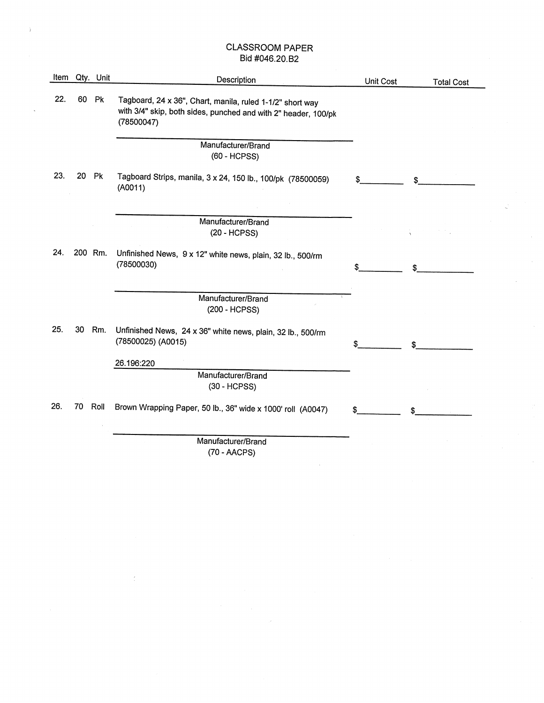| Item |         | Qty. Unit      | Description                                                                                                                               | Unit Cost | <b>Total Cost</b> |
|------|---------|----------------|-------------------------------------------------------------------------------------------------------------------------------------------|-----------|-------------------|
| 22.  | 60      | Pk             | Tagboard, 24 x 36", Chart, manila, ruled 1-1/2" short way<br>with 3/4" skip, both sides, punched and with 2" header, 100/pk<br>(78500047) |           |                   |
|      |         |                | Manufacturer/Brand<br>(60 - HCPSS)                                                                                                        |           |                   |
| 23.  | 20      | P <sub>k</sub> | Tagboard Strips, manila, 3 x 24, 150 lb., 100/pk (78500059)<br>(A0011)                                                                    | \$        |                   |
|      |         |                |                                                                                                                                           |           |                   |
|      |         |                | Manufacturer/Brand<br>$(20 - HCPSS)$                                                                                                      |           |                   |
| 24.  | 200 Rm. |                | Unfinished News, 9 x 12" white news, plain, 32 lb., 500/rm<br>(78500030)                                                                  | \$        |                   |
|      |         |                | Manufacturer/Brand<br>(200 - HCPSS)                                                                                                       |           |                   |
| 25.  | 30      | Rm.            | Unfinished News, 24 x 36" white news, plain, 32 lb., 500/rm<br>(78500025) (A0015)                                                         |           |                   |
|      |         |                | 26.196:220                                                                                                                                |           |                   |
|      |         |                | Manufacturer/Brand<br>(30 - HCPSS)                                                                                                        |           |                   |
| 26.  | 70      | Roll           | Brown Wrapping Paper, 50 lb., 36" wide x 1000' roll (A0047)                                                                               | \$        |                   |
|      |         |                | Manufacturer/Brand                                                                                                                        |           |                   |
|      |         |                | (70.100)                                                                                                                                  |           |                   |

(70 - AACPS)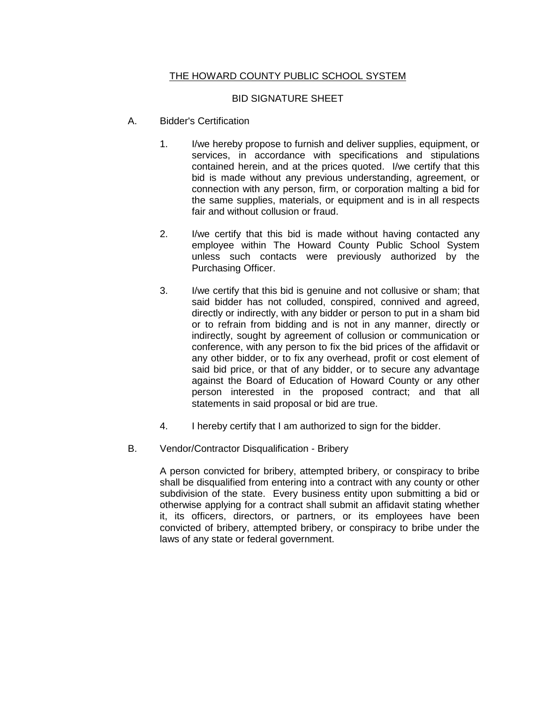# THE HOWARD COUNTY PUBLIC SCHOOL SYSTEM

# BID SIGNATURE SHEET

- A. Bidder's Certification
	- 1. I/we hereby propose to furnish and deliver supplies, equipment, or services, in accordance with specifications and stipulations contained herein, and at the prices quoted. I/we certify that this bid is made without any previous understanding, agreement, or connection with any person, firm, or corporation malting a bid for the same supplies, materials, or equipment and is in all respects fair and without collusion or fraud.
	- 2. I/we certify that this bid is made without having contacted any employee within The Howard County Public School System unless such contacts were previously authorized by the Purchasing Officer.
	- 3. I/we certify that this bid is genuine and not collusive or sham; that said bidder has not colluded, conspired, connived and agreed, directly or indirectly, with any bidder or person to put in a sham bid or to refrain from bidding and is not in any manner, directly or indirectly, sought by agreement of collusion or communication or conference, with any person to fix the bid prices of the affidavit or any other bidder, or to fix any overhead, profit or cost element of said bid price, or that of any bidder, or to secure any advantage against the Board of Education of Howard County or any other person interested in the proposed contract; and that all statements in said proposal or bid are true.
	- 4. I hereby certify that I am authorized to sign for the bidder.
- B. Vendor/Contractor Disqualification Bribery

A person convicted for bribery, attempted bribery, or conspiracy to bribe shall be disqualified from entering into a contract with any county or other subdivision of the state. Every business entity upon submitting a bid or otherwise applying for a contract shall submit an affidavit stating whether it, its officers, directors, or partners, or its employees have been convicted of bribery, attempted bribery, or conspiracy to bribe under the laws of any state or federal government.